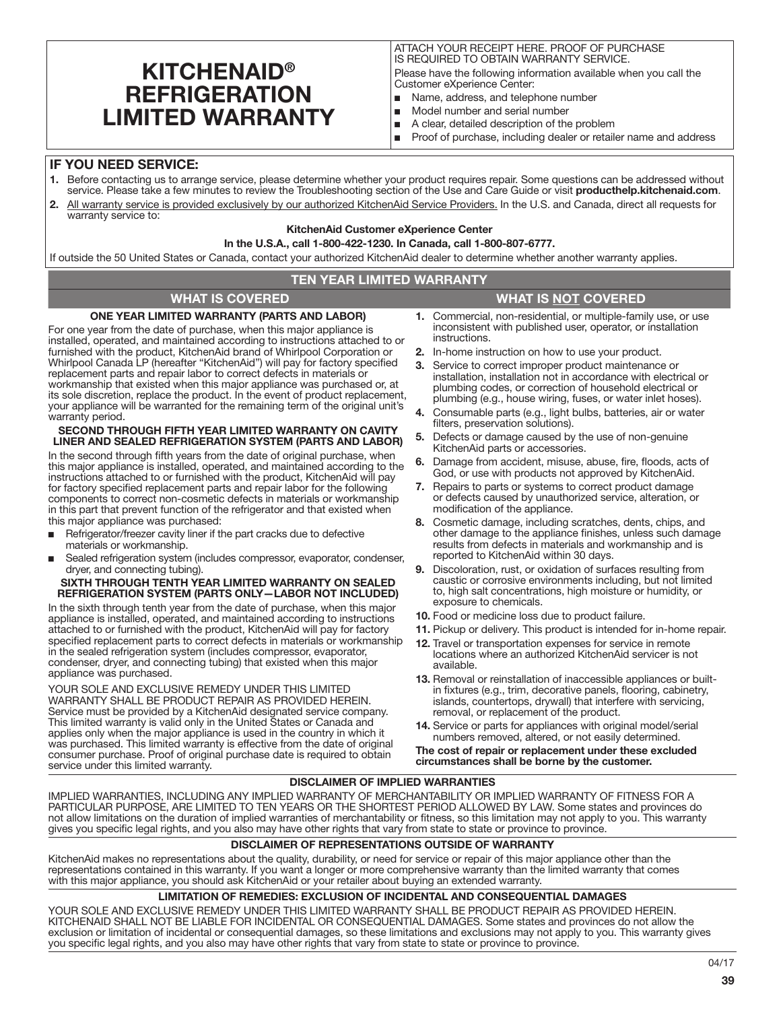# **KITCHENAID® REFRIGERATION** LIMITED WARRANTY

ATTACH YOUR RECEIPT HERE. PROOF OF PURCHASE IS REQUIRED TO OBTAIN WARRANTY SERVICE. Please have the following information available when you call the Customer eXperience Center:

- Name, address, and telephone number
- Model number and serial number
- A clear, detailed description of the problem
- Proof of purchase, including dealer or retailer name and address

# IF YOU NEED SERVICE:

- 1. Before contacting us to arrange service, please determine whether your product requires repair. Some questions can be addressed without service. Please take a few minutes to review the Troubleshooting section of the Use and Care Guide or visit producthelp.kitchenaid.com.
- 2. All warranty service is provided exclusively by our authorized KitchenAid Service Providers. In the U.S. and Canada, direct all requests for warranty service to:

# KitchenAid Customer eXperience Center

## In the U.S.A., call 1-800-422-1230. In Canada, call 1-800-807-6777.

If outside the 50 United States or Canada, contact your authorized KitchenAid dealer to determine whether another warranty applies.

## TEN YEAR LIMITED WARRANTY

## WHAT IS COVERED WHAT IS NOT COVERED

## ONE YEAR LIMITED WARRANTY (PARTS AND LABOR)

For one year from the date of purchase, when this major appliance is installed, operated, and maintained according to instructions attached to or furnished with the product, KitchenAid brand of Whirlpool Corporation or Whirlpool Canada LP (hereafter "KitchenAid") will pay for factory specified replacement parts and repair labor to correct defects in materials or workmanship that existed when this major appliance was purchased or, at its sole discretion, replace the product. In the event of product replacement, your appliance will be warranted for the remaining term of the original unit's warranty period.

### SECOND THROUGH FIFTH YEAR LIMITED WARRANTY ON CAVITY LINER AND SEALED REFRIGERATION SYSTEM (PARTS AND LABOR)

In the second through fifth years from the date of original purchase, when this major appliance is installed, operated, and maintained according to the instructions attached to or furnished with the product, KitchenAid will pay for factory specified replacement parts and repair labor for the following components to correct non-cosmetic defects in materials or workmanship in this part that prevent function of the refrigerator and that existed when this major appliance was purchased:

- Refrigerator/freezer cavity liner if the part cracks due to defective materials or workmanship.
- Sealed refrigeration system (includes compressor, evaporator, condenser, dryer, and connecting tubing).

### SIXTH THROUGH TENTH YEAR LIMITED WARRANTY ON SEALED REFRIGERATION SYSTEM (PARTS ONLY—LABOR NOT INCLUDED)

In the sixth through tenth year from the date of purchase, when this major appliance is installed, operated, and maintained according to instructions attached to or furnished with the product, KitchenAid will pay for factory specified replacement parts to correct defects in materials or workmanship in the sealed refrigeration system (includes compressor, evaporator, condenser, dryer, and connecting tubing) that existed when this major appliance was purchased.

YOUR SOLE AND EXCLUSIVE REMEDY UNDER THIS LIMITED WARRANTY SHALL BE PRODUCT REPAIR AS PROVIDED HEREIN. Service must be provided by a KitchenAid designated service company. This limited warranty is valid only in the United States or Canada and applies only when the major appliance is used in the country in which it was purchased. This limited warranty is effective from the date of original consumer purchase. Proof of original purchase date is required to obtain service under this limited warranty.

- 1. Commercial, non-residential, or multiple-family use, or use inconsistent with published user, operator, or installation instructions.
- 2. In-home instruction on how to use your product.
- 3. Service to correct improper product maintenance or installation, installation not in accordance with electrical or plumbing codes, or correction of household electrical or plumbing (e.g., house wiring, fuses, or water inlet hoses).
- 4. Consumable parts (e.g., light bulbs, batteries, air or water filters, preservation solutions).
- 5. Defects or damage caused by the use of non-genuine KitchenAid parts or accessories.
- 6. Damage from accident, misuse, abuse, fire, floods, acts of God, or use with products not approved by KitchenAid.
- 7. Repairs to parts or systems to correct product damage or defects caused by unauthorized service, alteration, or modification of the appliance.
- Cosmetic damage, including scratches, dents, chips, and other damage to the appliance finishes, unless such damage results from defects in materials and workmanship and is reported to KitchenAid within 30 days.
- Discoloration, rust, or oxidation of surfaces resulting from caustic or corrosive environments including, but not limited to, high salt concentrations, high moisture or humidity, or exposure to chemicals.
- 10. Food or medicine loss due to product failure.
- 11. Pickup or delivery. This product is intended for in-home repair.
- 12. Travel or transportation expenses for service in remote locations where an authorized KitchenAid servicer is not available.
- 13. Removal or reinstallation of inaccessible appliances or builtin fixtures (e.g., trim, decorative panels, flooring, cabinetry, islands, countertops, drywall) that interfere with servicing, removal, or replacement of the product.
- 14. Service or parts for appliances with original model/serial numbers removed, altered, or not easily determined.

The cost of repair or replacement under these excluded circumstances shall be borne by the customer.

# DISCLAIMER OF IMPLIED WARRANTIES

IMPLIED WARRANTIES, INCLUDING ANY IMPLIED WARRANTY OF MERCHANTABILITY OR IMPLIED WARRANTY OF FITNESS FOR A PARTICULAR PURPOSE, ARE LIMITED TO TEN YEARS OR THE SHORTEST PERIOD ALLOWED BY LAW. Some states and provinces do not allow limitations on the duration of implied warranties of merchantability or fitness, so this limitation may not apply to you. This warranty gives you specific legal rights, and you also may have other rights that vary from state to state or province to province.

## DISCLAIMER OF REPRESENTATIONS OUTSIDE OF WARRANTY

KitchenAid makes no representations about the quality, durability, or need for service or repair of this major appliance other than the representations contained in this warranty. If you want a longer or more comprehensive warranty than the limited warranty that comes with this major appliance, you should ask KitchenAid or your retailer about buying an extended warranty.

## LIMITATION OF REMEDIES: EXCLUSION OF INCIDENTAL AND CONSEQUENTIAL DAMAGES

YOUR SOLE AND EXCLUSIVE REMEDY UNDER THIS LIMITED WARRANTY SHALL BE PRODUCT REPAIR AS PROVIDED HEREIN. KITCHENAID SHALL NOT BE LIABLE FOR INCIDENTAL OR CONSEQUENTIAL DAMAGES. Some states and provinces do not allow the exclusion or limitation of incidental or consequential damages, so these limitations and exclusions may not apply to you. This warranty gives you specific legal rights, and you also may have other rights that vary from state to state or province to province.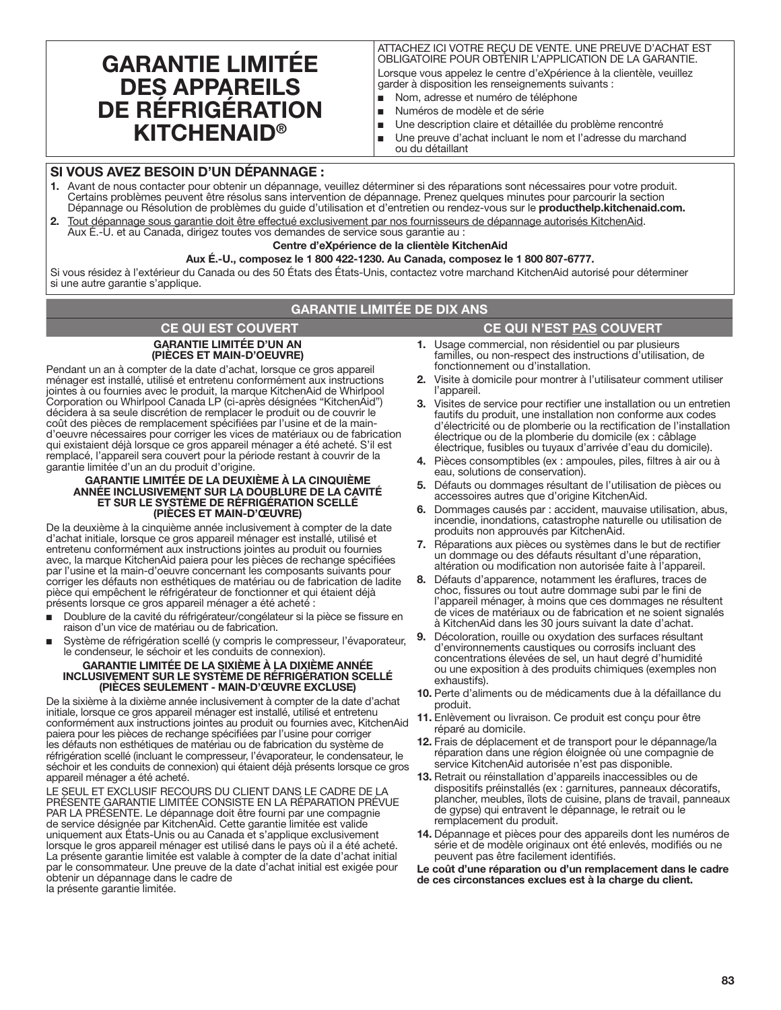# GARANTIE LIMITÉE DES APPAREILS DE RÉFRIGÉRATION KITCHENAID®

ATTACHEZ ICI VOTRE REÇU DE VENTE. UNE PREUVE D'ACHAT EST OBLIGATOIRE POUR OBTENIR L'APPLICATION DE LA GARANTIE.

Lorsque vous appelez le centre d'eXpérience à la clientèle, veuillez garder à disposition les renseignements suivants :

- Nom, adresse et numéro de téléphone
- Numéros de modèle et de série
- Une description claire et détaillée du problème rencontré
- Une preuve d'achat incluant le nom et l'adresse du marchand
- ou du détaillant

# SI VOUS AVEZ BESOIN D'UN DÉPANNAGE :

- Avant de nous contacter pour obtenir un dépannage, veuillez déterminer si des réparations sont nécessaires pour votre produit. Certains problèmes peuvent être résolus sans intervention de dépannage. Prenez quelques minutes pour parcourir la section Dépannage ou Résolution de problèmes du guide d'utilisation et d'entretien ou rendez-vous sur le producthelp.kitchenaid.com.
- 2. Tout dépannage sous garantie doit être effectué exclusivement par nos fournisseurs de dépannage autorisés KitchenAid. Aux É.-U. et au Canada, dirigez toutes vos demandes de service sous garantie au :

### Centre d'eXpérience de la clientèle KitchenAid

### Aux É.-U., composez le 1 800 422-1230. Au Canada, composez le 1 800 807-6777.

Si vous résidez à l'extérieur du Canada ou des 50 États des États-Unis, contactez votre marchand KitchenAid autorisé pour déterminer si une autre garantie s'applique.

# GARANTIE LIMITÉE DE DIX ANS

## CE QUI EST COUVERT CE QUI N'EST <u>PAS</u> COUVERT GARANTIE LIMITÉE D'UN AN (PIÈCES ET MAIN-D'OEUVRE)

Pendant un an à compter de la date d'achat, lorsque ce gros appareil ménager est installé, utilisé et entretenu conformément aux instructions jointes à ou fournies avec le produit, la marque KitchenAid de Whirlpool Corporation ou Whirlpool Canada LP (ci-après désignées "KitchenAid") décidera à sa seule discrétion de remplacer le produit ou de couvrir le coût des pièces de remplacement spécifiées par l'usine et de la maind'oeuvre nécessaires pour corriger les vices de matériaux ou de fabrication qui existaient déjà lorsque ce gros appareil ménager a été acheté. S'il est remplacé, l'appareil sera couvert pour la période restant à couvrir de la garantie limitée d'un an du produit d'origine.

### GARANTIE LIMITÉE DE LA DEUXIÈME À LA CINQUIÈME ANNÉE INCLUSIVEMENT SUR LA DOUBLURE DE LA CAVITÉ ET SUR LE SYSTÈME DE RÉFRIGÉRATION SCELLÉ (PIÈCES ET MAIN-D'ŒUVRE)

De la deuxième à la cinquième année inclusivement à compter de la date d'achat initiale, lorsque ce gros appareil ménager est installé, utilisé et entretenu conformément aux instructions jointes au produit ou fournies avec, la marque KitchenAid paiera pour les pièces de rechange spécifiées par l'usine et la main-d'oeuvre concernant les composants suivants pour corriger les défauts non esthétiques de matériau ou de fabrication de ladite pièce qui empêchent le réfrigérateur de fonctionner et qui étaient déjà présents lorsque ce gros appareil ménager a été acheté :

- Doublure de la cavité du réfrigérateur/congélateur si la pièce se fissure en raison d'un vice de matériau ou de fabrication.
- Système de réfrigération scellé (y compris le compresseur, l'évaporateur, le condenseur, le séchoir et les conduits de connexion).

#### GARANTIE LIMITÉE DE LA SIXIÈME À LA DIXIÈME ANNÉE INCLUSIVEMENT SUR LE SYSTÈME DE RÉFRIGÉRATION SCELLÉ (PIÈCES SEULEMENT - MAIN-D'ŒUVRE EXCLUSE)

De la sixième à la dixième année inclusivement à compter de la date d'achat initiale, lorsque ce gros appareil ménager est installé, utilisé et entretenu conformément aux instructions jointes au produit ou fournies avec, KitchenAid paiera pour les pièces de rechange spécifiées par l'usine pour corriger les défauts non esthétiques de matériau ou de fabrication du système de réfrigération scellé (incluant le compresseur, l'évaporateur, le condensateur, le séchoir et les conduits de connexion) qui étaient déjà présents lorsque ce gros appareil ménager a été acheté.

LE SEUL ET EXCLUSIF RECOURS DU CLIENT DANS LE CADRE DE LA PRÉSENTE GARANTIE LIMITÉE CONSISTE EN LA RÉPARATION PRÉVUE PAR LA PRÉSENTE. Le dépannage doit être fourni par une compagnie de service désignée par KitchenAid. Cette garantie limitée est valide uniquement aux États-Unis ou au Canada et s'applique exclusivement lorsque le gros appareil ménager est utilisé dans le pays où il a été acheté. La présente garantie limitée est valable à compter de la date d'achat initial par le consommateur. Une preuve de la date d'achat initial est exigée pour obtenir un dépannage dans le cadre de la présente garantie limitée.

- 1. Usage commercial, non résidentiel ou par plusieurs familles, ou non-respect des instructions d'utilisation, de fonctionnement ou d'installation.
- 2. Visite à domicile pour montrer à l'utilisateur comment utiliser l'appareil.
- 3. Visites de service pour rectifier une installation ou un entretien fautifs du produit, une installation non conforme aux codes d'électricité ou de plomberie ou la rectification de l'installation électrique ou de la plomberie du domicile (ex : câblage électrique, fusibles ou tuyaux d'arrivée d'eau du domicile).
- 4. Pièces consomptibles (ex : ampoules, piles, filtres à air ou à eau, solutions de conservation).
- 5. Défauts ou dommages résultant de l'utilisation de pièces ou accessoires autres que d'origine KitchenAid.
- 6. Dommages causés par : accident, mauvaise utilisation, abus, incendie, inondations, catastrophe naturelle ou utilisation de produits non approuvés par KitchenAid.
- 7. Réparations aux pièces ou systèmes dans le but de rectifier un dommage ou des défauts résultant d'une réparation, altération ou modification non autorisée faite à l'appareil.
- 8. Défauts d'apparence, notamment les éraflures, traces de choc, fissures ou tout autre dommage subi par le fini de l'appareil ménager, à moins que ces dommages ne résultent de vices de matériaux ou de fabrication et ne soient signalés à KitchenAid dans les 30 jours suivant la date d'achat.
- 9. Décoloration, rouille ou oxydation des surfaces résultant d'environnements caustiques ou corrosifs incluant des concentrations élevées de sel, un haut degré d'humidité ou une exposition à des produits chimiques (exemples non exhaustifs).
- 10. Perte d'aliments ou de médicaments due à la défaillance du produit.
- 11. Enlèvement ou livraison. Ce produit est conçu pour être réparé au domicile.
- 12. Frais de déplacement et de transport pour le dépannage/la réparation dans une région éloignée où une compagnie de service KitchenAid autorisée n'est pas disponible.
- 13. Retrait ou réinstallation d'appareils inaccessibles ou de dispositifs préinstallés (ex : garnitures, panneaux décoratifs, plancher, meubles, îlots de cuisine, plans de travail, panneaux de gypse) qui entravent le dépannage, le retrait ou le remplacement du produit.
- 14. Dépannage et pièces pour des appareils dont les numéros de série et de modèle originaux ont été enlevés, modifiés ou ne peuvent pas être facilement identifiés.

Le coût d'une réparation ou d'un remplacement dans le cadre de ces circonstances exclues est à la charge du client.